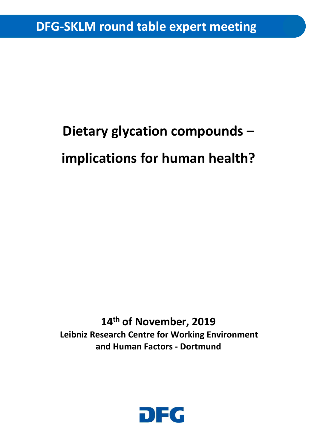# **Dietary glycation compounds – implications for human health?**

**14th of November, 2019 Leibniz Research Centre for Working Environment and Human Factors - Dortmund** 

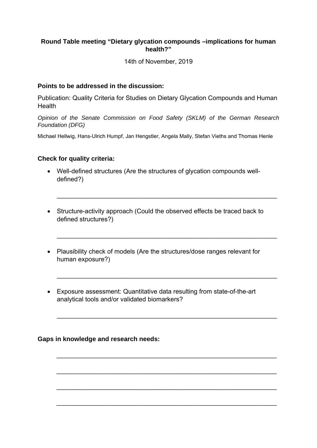### **Round Table meeting "Dietary glycation compounds –implications for human health?"**

14th of November, 2019

#### **Points to be addressed in the discussion:**

Publication: Quality Criteria for Studies on Dietary Glycation Compounds and Human **Health** 

*Opinion of the Senate Commission on Food Safety (SKLM) of the German Research Foundation (DFG)* 

Michael Hellwig, Hans-Ulrich Humpf, Jan Hengstler, Angela Mally, Stefan Vieths and Thomas Henle

#### **Check for quality criteria:**

- Well-defined structures (Are the structures of glycation compounds welldefined?)
- Structure-activity approach (Could the observed effects be traced back to defined structures?)

\_\_\_\_\_\_\_\_\_\_\_\_\_\_\_\_\_\_\_\_\_\_\_\_\_\_\_\_\_\_\_\_\_\_\_\_\_\_\_\_\_\_\_\_\_\_\_\_\_\_\_\_\_\_\_\_\_\_\_\_\_\_

\_\_\_\_\_\_\_\_\_\_\_\_\_\_\_\_\_\_\_\_\_\_\_\_\_\_\_\_\_\_\_\_\_\_\_\_\_\_\_\_\_\_\_\_\_\_\_\_\_\_\_\_\_\_\_\_\_\_\_\_\_\_

\_\_\_\_\_\_\_\_\_\_\_\_\_\_\_\_\_\_\_\_\_\_\_\_\_\_\_\_\_\_\_\_\_\_\_\_\_\_\_\_\_\_\_\_\_\_\_\_\_\_\_\_\_\_\_\_\_\_\_\_\_\_

\_\_\_\_\_\_\_\_\_\_\_\_\_\_\_\_\_\_\_\_\_\_\_\_\_\_\_\_\_\_\_\_\_\_\_\_\_\_\_\_\_\_\_\_\_\_\_\_\_\_\_\_\_\_\_\_\_\_\_\_\_\_

\_\_\_\_\_\_\_\_\_\_\_\_\_\_\_\_\_\_\_\_\_\_\_\_\_\_\_\_\_\_\_\_\_\_\_\_\_\_\_\_\_\_\_\_\_\_\_\_\_\_\_\_\_\_\_\_\_\_\_\_\_\_

\_\_\_\_\_\_\_\_\_\_\_\_\_\_\_\_\_\_\_\_\_\_\_\_\_\_\_\_\_\_\_\_\_\_\_\_\_\_\_\_\_\_\_\_\_\_\_\_\_\_\_\_\_\_\_\_\_\_\_\_\_\_

\_\_\_\_\_\_\_\_\_\_\_\_\_\_\_\_\_\_\_\_\_\_\_\_\_\_\_\_\_\_\_\_\_\_\_\_\_\_\_\_\_\_\_\_\_\_\_\_\_\_\_\_\_\_\_\_\_\_\_\_\_\_

\_\_\_\_\_\_\_\_\_\_\_\_\_\_\_\_\_\_\_\_\_\_\_\_\_\_\_\_\_\_\_\_\_\_\_\_\_\_\_\_\_\_\_\_\_\_\_\_\_\_\_\_\_\_\_\_\_\_\_\_\_\_

- Plausibility check of models (Are the structures/dose ranges relevant for human exposure?)
- Exposure assessment: Quantitative data resulting from state-of-the-art analytical tools and/or validated biomarkers?

#### **Gaps in knowledge and research needs:**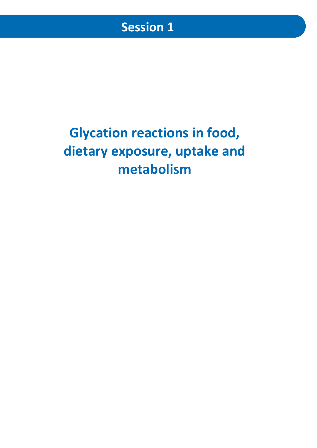# **Glycation reactions in food, dietary exposure, uptake and metabolism**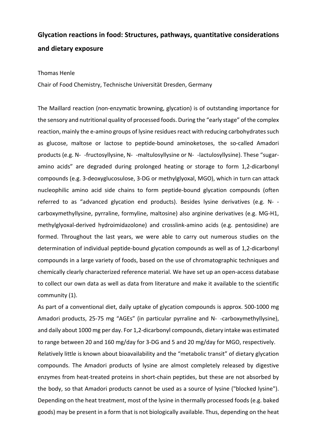## **Glycation reactions in food: Structures, pathways, quantitative considerations and dietary exposure**

#### Thomas Henle

Chair of Food Chemistry, Technische Universität Dresden, Germany

The Maillard reaction (non‐enzymatic browning, glycation) is of outstanding importance for the sensory and nutritional quality of processed foods. During the "early stage" of the complex reaction, mainly the e-amino groups of lysine residues react with reducing carbohydrates such as glucose, maltose or lactose to peptide-bound aminoketoses, the so-called Amadori products (e.g. N- -fructosyllysine, N- -maltulosyllysine or N- -lactulosyllysine). These "sugaramino acids" are degraded during prolonged heating or storage to form 1,2‐dicarbonyl compounds (e.g. 3‐deoxyglucosulose, 3‐DG or methylglyoxal, MGO), which in turn can attack nucleophilic amino acid side chains to form peptide‐bound glycation compounds (often referred to as "advanced glycation end products). Besides lysine derivatives (e.g. N‐‐ carboxymethyllysine, pyrraline, formyline, maltosine) also arginine derivatives (e.g. MG‐H1, methylglyoxal‐derived hydroimidazolone) and crosslink‐amino acids (e.g. pentosidine) are formed. Throughout the last years, we were able to carry out numerous studies on the determination of individual peptide‐bound glycation compounds as well as of 1,2‐dicarbonyl compounds in a large variety of foods, based on the use of chromatographic techniques and chemically clearly characterized reference material. We have set up an open‐access database to collect our own data as well as data from literature and make it available to the scientific community (1).

As part of a conventional diet, daily uptake of glycation compounds is approx. 500‐1000 mg Amadori products, 25‐75 mg "AGEs" (in particular pyrraline and N‐‐carboxymethyllysine), and daily about 1000 mg per day. For 1,2‐dicarbonyl compounds, dietary intake was estimated to range between 20 and 160 mg/day for 3‐DG and 5 and 20 mg/day for MGO, respectively. Relatively little is known about bioavailability and the "metabolic transit" of dietary glycation compounds. The Amadori products of lysine are almost completely released by digestive enzymes from heat-treated proteins in short-chain peptides, but these are not absorbed by the body, so that Amadori products cannot be used as a source of lysine ("blocked lysine"). Depending on the heat treatment, most of the lysine in thermally processed foods (e.g. baked goods) may be present in a form that is not biologically available. Thus, depending on the heat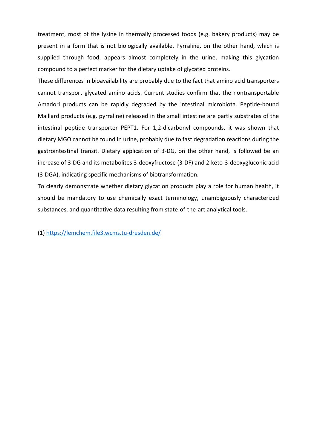treatment, most of the lysine in thermally processed foods (e.g. bakery products) may be present in a form that is not biologically available. Pyrraline, on the other hand, which is supplied through food, appears almost completely in the urine, making this glycation compound to a perfect marker for the dietary uptake of glycated proteins.

These differences in bioavailability are probably due to the fact that amino acid transporters cannot transport glycated amino acids. Current studies confirm that the nontransportable Amadori products can be rapidly degraded by the intestinal microbiota. Peptide‐bound Maillard products (e.g. pyrraline) released in the small intestine are partly substrates of the intestinal peptide transporter PEPT1. For 1,2‐dicarbonyl compounds, it was shown that dietary MGO cannot be found in urine, probably due to fast degradation reactions during the gastrointestinal transit. Dietary application of 3‐DG, on the other hand, is followed be an increase of 3‐DG and its metabolites 3‐deoxyfructose (3‐DF) and 2‐keto‐3‐deoxygluconic acid (3‐DGA), indicating specific mechanisms of biotransformation.

To clearly demonstrate whether dietary glycation products play a role for human health, it should be mandatory to use chemically exact terminology, unambiguously characterized substances, and quantitative data resulting from state‐of‐the‐art analytical tools.

(1) https://lemchem.file3.wcms.tu‐dresden.de/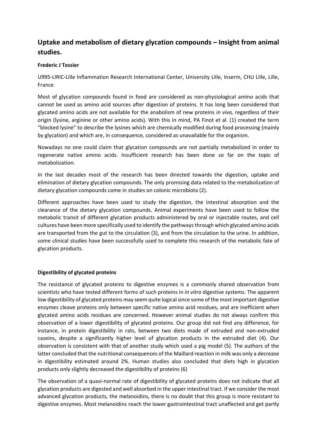## **Uptake and metabolism of dietary glycation compounds – Insight from animal studies.**

#### **Frederic J Tessier**

U995‐LIRIC‐Lille Inflammation Research International Center, University Lille, Inserm, CHU Lille, Lille, France

Most of glycation compounds found in food are considered as non-physiological amino acids that cannot be used as amino acid sources after digestion of proteins. It has long been considered that glycated amino acids are not available for the anabolism of new proteins *in vivo,* regardless of their origin (lysine, arginine or other amino acids). With this in mind, PA Finot et al. (1) created the term "blocked lysine" to describe the lysines which are chemically modified during food processing (mainly by glycation) and which are, in consequence, considered as unavailable for the organism.

Nowadays no one could claim that glycation compounds are not partially metabolized in order to regenerate native amino acids. Insufficient research has been done so far on the topic of metabolization.

In the last decades most of the research has been directed towards the digestion, uptake and elimination of dietary glycation compounds. The only promising data related to the metabolization of dietary glycation compounds come in studies on colonic microbiota (2).

Different approaches have been used to study the digestion, the intestinal absorption and the clearance of the dietary glycation compounds. Animal experiments have been used to follow the metabolic transit of different glycation products administered by oral or injectable routes, and cell cultures have been more specifically used to identify the pathwaysthrough which glycated amino acids are transported from the gut to the circulation (3), and from the circulation to the urine. In addition, some clinical studies have been successfully used to complete this research of the metabolic fate of glycation products.

#### **Digestibility of glycated proteins**

The resistance of glycated proteins to digestive enzymes is a commonly shared observation from scientists who have tested different forms of such proteins in *in vitro* digestive systems. The apparent low digestibility of glycated proteins may seem quite logical since some of the most important digestive enzymes cleave proteins only between specific native amino acid residues, and are inefficient when glycated amino acids residues are concerned. However animal studies do not always confirm this observation of a lower digestibility of glycated proteins. Our group did not find any difference, for instance, in protein digestibility in rats, between two diets made of extruded and non‐extruded caseins, despite a significantly higher level of glycation products in the extruded diet (4). Our observation is consistent with that of another study which used a pig model (5). The authors of the latter concluded that the nutritional consequences of the Maillard reaction in milk was only a decrease in digestibility estimated around 2%. Human studies also concluded that diets high in glycation products only slightly decreased the digestibility of proteins (6)

The observation of a quasi-normal rate of digestibility of glycated proteins does not indicate that all glycation products are digested and well absorbed in the upper intestinal tract. If we consider the most advanced glycation products, the melanoidins, there is no doubt that this group is more resistant to digestive enzymes. Most melanoidins reach the lower gastrointestinal tract unaffected and get partly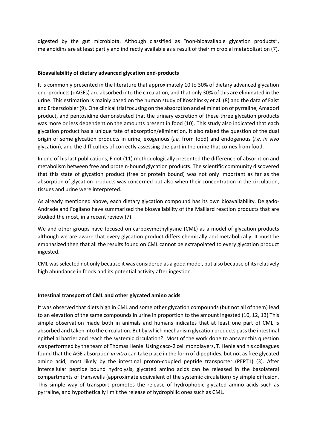digested by the gut microbiota. Although classified as "non‐bioavailable glycation products", melanoidins are at least partly and indirectly available as a result of their microbial metabolization (7).

#### **Bioavailability of dietary advanced glycation end‐products**

It is commonly presented in the literature that approximately 10 to 30% of dietary advanced glycation end‐products (dAGEs) are absorbed into the circulation, and that only 30% of this are eliminated in the urine. This estimation is mainly based on the human study of Koschinsky et al. (8) and the data of Faist and Erbersdobler (9). One clinical trial focusing on the absorption and elimination of pyrraline, Amadori product, and pentosidine demonstrated that the urinary excretion of these three glycation products was more or less dependent on the amounts present in food (10). This study also indicated that each glycation product has a unique fate of absorption/elimination. It also raised the question of the dual origin of some glycation products in urine, exogenous (*i.e.* from food) and endogenous (*i.e. in vivo* glycation), and the difficulties of correctly assessing the part in the urine that comes from food.

In one of his last publications, Finot (11) methodologically presented the difference of absorption and metabolism between free and protein‐bound glycation products. The scientific community discovered that this state of glycation product (free or protein bound) was not only important as far as the absorption of glycation products was concerned but also when their concentration in the circulation, tissues and urine were interpreted.

As already mentioned above, each dietary glycation compound has its own bioavailability. Delgado‐ Andrade and Fogliano have summarized the bioavailability of the Maillard reaction products that are studied the most, in a recent review (7).

We and other groups have focused on carboxymethyllysine (CML) as a model of glycation products although we are aware that every glycation product differs chemically and metabolically. It must be emphasized then that all the results found on CML cannot be extrapolated to every glycation product ingested.

CML wasselected not only because it was considered as a good model, but also because of itsrelatively high abundance in foods and its potential activity after ingestion.

#### **Intestinal transport of CML and other glycated amino acids**

It was observed that diets high in CML and some other glycation compounds (but not all of them) lead to an elevation of the same compounds in urine in proportion to the amount ingested (10, 12, 13) This simple observation made both in animals and humans indicates that at least one part of CML is absorbed and taken into the circulation. But by which mechanism glycation products passthe intestinal epithelial barrier and reach the systemic circulation? Most of the work done to answer this question was performed by the team of Thomas Henle. Using caco-2 cell monolayers, T. Henle and his colleagues found that the AGE absorption *in vitro* can take place in the form of dipeptides, but not asfree glycated amino acid, most likely by the intestinal proton‐coupled peptide transporter (PEPT1) (3). After intercellular peptide bound hydrolysis, glycated amino acids can be released in the basolateral compartments of transwells (approximate equivalent of the systemic circulation) by simple diffusion. This simple way of transport promotes the release of hydrophobic glycated amino acids such as pyrraline, and hypothetically limit the release of hydrophilic ones such as CML.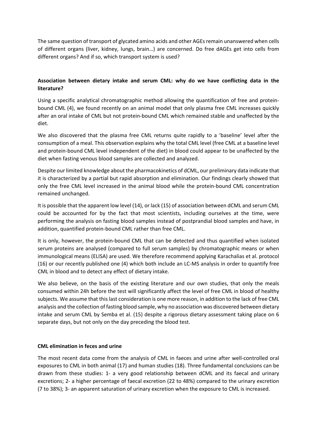The same question of transport of glycated amino acids and other AGEsremain unanswered when cells of different organs (liver, kidney, lungs, brain…) are concerned. Do free dAGEs get into cells from different organs? And if so, which transport system is used?

#### **Association between dietary intake and serum CML: why do we have conflicting data in the literature?**

Using a specific analytical chromatographic method allowing the quantification of free and protein‐ bound CML (4), we found recently on an animal model that only plasma free CML increases quickly after an oral intake of CML but not protein‐bound CML which remained stable and unaffected by the diet.

We also discovered that the plasma free CML returns quite rapidly to a 'baseline' level after the consumption of a meal. This observation explains why the total CML level (free CML at a baseline level and protein‐bound CML level independent of the diet) in blood could appear to be unaffected by the diet when fasting venous blood samples are collected and analyzed.

Despite our limited knowledge about the pharmacokinetics of dCML, our preliminary data indicate that it is characterized by a partial but rapid absorption and elimination. Our findings clearly showed that only the free CML level increased in the animal blood while the protein‐bound CML concentration remained unchanged.

It is possible that the apparent low level (14), or lack (15) of association between dCML and serum CML could be accounted for by the fact that most scientists, including ourselves at the time, were performing the analysis on fasting blood samples instead of postprandial blood samples and have, in addition, quantified protein‐bound CML rather than free CML.

It is only, however, the protein‐bound CML that can be detected and thus quantified when isolated serum proteins are analysed (compared to full serum samples) by chromatographic means or when immunological means (ELISA) are used. We therefore recommend applying Karachalias et al. protocol (16) or our recently published one (4) which both include an LC‐MS analysis in order to quantify free CML in blood and to detect any effect of dietary intake.

We also believe, on the basis of the existing literature and our own studies, that only the meals consumed within 24h before the test will significantly affect the level of free CML in blood of healthy subjects. We assume that this last consideration is one more reason, in addition to the lack of free CML analysis and the collection of fasting blood sample, why no association was discovered between dietary intake and serum CML by Semba et al. (15) despite a rigorous dietary assessment taking place on 6 separate days, but not only on the day preceding the blood test.

#### **CML elimination in feces and urine**

The most recent data come from the analysis of CML in faeces and urine after well-controlled oral exposures to CML in both animal (17) and human studies (18). Three fundamental conclusions can be drawn from these studies: 1‐ a very good relationship between dCML and its faecal and urinary excretions; 2‐ a higher percentage of faecal excretion (22 to 48%) compared to the urinary excretion (7 to 38%); 3‐ an apparent saturation of urinary excretion when the exposure to CML is increased.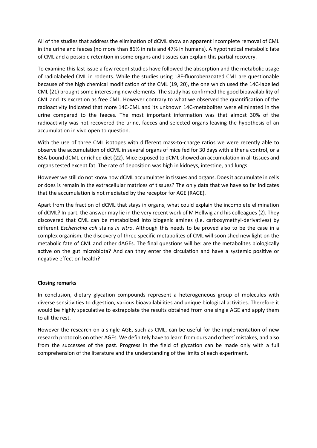All of the studies that address the elimination of dCML show an apparent incomplete removal of CML in the urine and faeces (no more than 86% in rats and 47% in humans). A hypothetical metabolic fate of CML and a possible retention in some organs and tissues can explain this partial recovery.

To examine this last issue a few recent studies have followed the absorption and the metabolic usage of radiolabeled CML in rodents. While the studies using 18F‐fluorobenzoated CML are questionable because of the high chemical modification of the CML (19, 20), the one which used the 14C‐labelled CML (21) brought some interesting new elements. The study has confirmed the good bioavailability of CML and its excretion as free CML. However contrary to what we observed the quantification of the radioactivity indicated that more 14C‐CML and its unknown 14C‐metabolites were eliminated in the urine compared to the faeces. The most important information was that almost 30% of the radioactivity was not recovered the urine, faeces and selected organs leaving the hypothesis of an accumulation in vivo open to question.

With the use of three CML isotopes with different mass-to-charge ratios we were recently able to observe the accumulation of dCML in several organs of mice fed for 30 days with either a control, or a BSA‐bound dCML‐enriched diet (22). Mice exposed to dCML showed an accumulation in all tissues and organs tested except fat. The rate of deposition was high in kidneys, intestine, and lungs.

However we still do not know how dCML accumulatesin tissues and organs. Doesit accumulate in cells or does is remain in the extracellular matrices of tissues? The only data that we have so far indicates that the accumulation is not mediated by the receptor for AGE (RAGE).

Apart from the fraction of dCML that stays in organs, what could explain the incomplete elimination of dCML? In part, the answer may lie in the very recent work of M Hellwig and his colleagues (2). They discovered that CML can be metabolized into biogenic amines (i.e. carboxymethyl‐derivatives) by different *Escherichia coli* stains *in vitro*. Although this needs to be proved also to be the case in a complex organism, the discovery of three specific metabolites of CML will soon shed new light on the metabolic fate of CML and other dAGEs. The final questions will be: are the metabolites biologically active on the gut microbiota? And can they enter the circulation and have a systemic positive or negative effect on health?

#### **Closing remarks**

In conclusion, dietary glycation compounds represent a heterogeneous group of molecules with diverse sensitivities to digestion, various bioavailabilities and unique biological activities. Therefore it would be highly speculative to extrapolate the results obtained from one single AGE and apply them to all the rest.

However the research on a single AGE, such as CML, can be useful for the implementation of new research protocols on other AGEs. We definitely have to learn from ours and others' mistakes, and also from the successes of the past. Progress in the field of glycation can be made only with a full comprehension of the literature and the understanding of the limits of each experiment.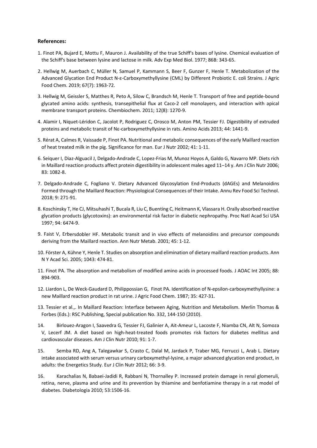#### **References:**

- 1. Finot PA, Bujard E, Mottu F, Mauron J. Availability of the true Schiff's bases of lysine. Chemical evaluation of the Schiff's base between lysine and lactose in milk. Adv Exp Med Biol. 1977; 86B: 343‐65.
- 2. Hellwig M, Auerbach C, Müller N, Samuel P, Kammann S, Beer F, Gunzer F, Henle T. Metabolization of the Advanced Glycation End Product N‐ε‐Carboxymethyllysine (CML) by Different Probiotic E. coli Strains. J Agric Food Chem. 2019; 67(7): 1963‐72.
- 3. Hellwig M, Geissler S, Matthes R, Peto A, Silow C, Brandsch M, Henle T. Transport of free and peptide‐bound glycated amino acids: synthesis, transepithelial flux at Caco‐2 cell monolayers, and interaction with apical membrane transport proteins. Chembiochem. 2011; 12(8): 1270‐9.
- 4. Alamir I, Niquet‐Léridon C, Jacolot P, Rodriguez C, Orosco M, Anton PM, Tessier FJ. Digestibility of extruded proteins and metabolic transit of Nε‐carboxymethyllysine in rats. Amino Acids 2013; 44: 1441‐9.
- 5. Rérat A, Calmes R, Vaissade P, Finot PA. Nutritional and metabolic consequences of the early Maillard reaction of heat treated milk in the pig. Significance for man. Eur J Nutr 2002; 41: 1‐11.
- 6. Seiquer I, Diaz‐Alguacil J, Delgado‐Andrade C, Lopez‐Frias M, Munoz Hoyos A, Galdo G, Navarro MP. Diets rich in Maillard reaction products affect protein digestibility in adolescent males aged 11–14 y. Am J Clin Nutr 2006; 83: 1082‐8.
- 7. Delgado‐Andrade C, Fogliano V. Dietary Advanced Glycosylation End‐Products (dAGEs) and Melanoidins Formed through the Maillard Reaction: Physiological Consequences of their Intake. Annu Rev Food Sci Technol. 2018; 9: 271‐91.
- 8. Koschinsky T, He CJ, Mitsuhashi T, Bucala R, Liu C, Buenting C, Heitmann K, Vlassara H. Orally absorbed reactive glycation products (glycotoxins): an environmental risk factor in diabetic nephropathy. Proc Natl Acad Sci USA 1997; 94: 6474‐9.
- 9. Faist V, Erbersdobler HF. Metabolic transit and in vivo effects of melanoidins and precursor compounds deriving from the Maillard reaction. Ann Nutr Metab. 2001; 45: 1‐12.
- 10. Förster A, Kühne Y, Henle T. Studies on absorption and elimination of dietary maillard reaction products. Ann N Y Acad Sci. 2005; 1043: 474‐81.
- 11. Finot PA. The absorption and metabolism of modified amino acids in processed foods. J AOAC Int 2005; 88: 894‐903.
- 12. Liardon L, De Weck‐Gaudard D, Philippossian G, Finot PA. Identification of N‐epsilon‐carboxymethyllysine: a new Maillard reaction product in rat urine. J Agric Food Chem. 1987; 35: 427‐31.
- 13. Tessier et al.,. In Maillard Reaction: Interface between Aging, Nutrition and Metabolism. Merlin Thomas & Forbes (Eds.): RSC Publishing, Special publication No. 332, 144‐150 (2010).
- 14. Birlouez‐Aragon I, Saavedra G, Tessier FJ, Galinier A, Ait‐Ameur L, Lacoste F, Niamba CN, Alt N, Somoza V, Lecerf JM. A diet based on high-heat-treated foods promotes risk factors for diabetes mellitus and cardiovascular diseases. Am J Clin Nutr 2010; 91: 1‐7.
- 15. Semba RD, Ang A, Talegawkar S, Crasto C, Dalal M, Jardack P, Traber MG, Ferrucci L, Arab L. Dietary intake associated with serum versus urinary carboxymethyl‐lysine, a major advanced glycation end product, in adults: the Energetics Study. Eur J Clin Nutr 2012; 66: 3‐9.
- 16. Karachalias N, Babaei‐Jadidi R, Rabbani N, Thornalley P. Increased protein damage in renal glomeruli, retina, nerve, plasma and urine and its prevention by thiamine and benfotiamine therapy in a rat model of diabetes. Diabetologia 2010; 53:1506‐16.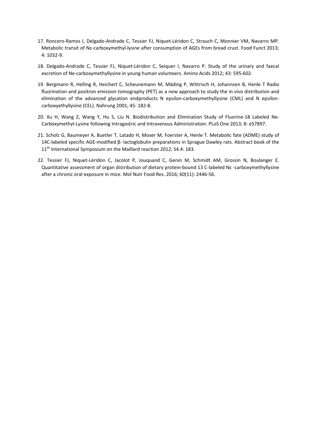- 17. Roncero-Ramos I, Delgado-Andrade C, Tessier FJ, Niquet-Léridon C, Strauch C, Monnier VM, Navarro MP. Metabolic transit of Ne-carboxymethyl-lysine after consumption of AGEs from bread crust. Food Funct 2013; 4: 1032‐9.
- 18. Delgado‐Andrade C, Tessier FJ, Niquet‐Léridon C, Seiquer I, Navarro P. Study of the urinary and faecal excretion of Ne-carboxymethyllysine in young human volunteers. Amino Acids 2012; 43: 595-602.
- 19. Bergmann R, Helling R, Heichert C, Scheunemann M, Mäding P, Wittrisch H, Johannsen B, Henle T Radio fluorination and positron emission tomography (PET) as a new approach to study the in vivo distribution and elimination of the advanced glycation endproducts N epsilon-carboxymethyllysine (CML) and N epsiloncarboxyethyllysine (CEL). Nahrung 2001; 45: 182‐8.
- 20. Xu H, Wang Z, Wang Y, Hu S, Liu N. Biodistribution and Elimination Study of Fluorine‐18 Labeled Ne‐ Carboxymethyl‐Lysine following Intragastric and Intravenous Administration. PLoS One 2013; 8: e57897.
- 21. Scholz G, Baumeyer A, Buetler T, Latado H, Moser M, Foerster A, Henle T. Metabolic fate (ADME) study of 14C‐labeled specific AGE‐modified β‐ lactoglobulin preparations in Sprague Dawley rats. Abstract book of the 11<sup>th</sup> International Symposium on the Maillard reaction 2012; S4.4: 183.
- 22. Tessier FJ, Niquet-Léridon C, Jacolot P, Jouquand C, Genin M, Schmidt AM, Grossin N, Boulanger E. Quantitative assessment of organ distribution of dietary protein-bound 13 C-labeled Nε -carboxymethyllysine after a chronic oral exposure in mice. Mol Nutr Food Res. 2016; 60(11): 2446‐56.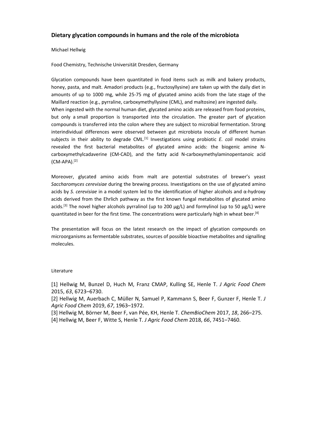#### **Dietary glycation compounds in humans and the role of the microbiota**

#### Michael Hellwig

#### Food Chemistry, Technische Universität Dresden, Germany

Glycation compounds have been quantitated in food items such as milk and bakery products, honey, pasta, and malt. Amadori products (e.g., fructosyllysine) are taken up with the daily diet in amounts of up to 1000 mg, while 25-75 mg of glycated amino acids from the late stage of the Maillard reaction (e.g., pyrraline, carboxymethyllysine (CML), and maltosine) are ingested daily. When ingested with the normal human diet, glycated amino acids are released from food proteins, but only a small proportion is transported into the circulation. The greater part of glycation compounds is transferred into the colon where they are subject to microbial fermentation. Strong interindividual differences were observed between gut microbiota inocula of different human subjects in their ability to degrade CML.[1] Investigations using probiotic *E. coli* model strains revealed the first bacterial metabolites of glycated amino acids: the biogenic amine N‐ carboxymethylcadaverine (CM‐CAD), and the fatty acid N‐carboxymethylaminopentanoic acid  $(CM-APA).$ <sup>[2]</sup>

Moreover, glycated amino acids from malt are potential substrates of brewer's yeast *Saccharomyces cerevisiae* during the brewing process. Investigations on the use of glycated amino acids by *S. cerevisiae* in a model system led to the identification of higher alcohols and α‐hydroxy acids derived from the Ehrlich pathway as the first known fungal metabolites of glycated amino acids.<sup>[3]</sup> The novel higher alcohols pyrralinol (up to 200  $\mu$ g/L) and formylinol (up to 50  $\mu$ g/L) were quantitated in beer for the first time. The concentrations were particularly high in wheat beer.<sup>[4]</sup>

The presentation will focus on the latest research on the impact of glycation compounds on microorganisms as fermentable substrates, sources of possible bioactive metabolites and signalling molecules.

#### Literature

[1] Hellwig M, Bunzel D, Huch M, Franz CMAP, Kulling SE, Henle T. *J Agric Food Chem* 2015, *63*, 6723–6730.

[2] Hellwig M, Auerbach C, Müller N, Samuel P, Kammann S, Beer F, Gunzer F, Henle T. *J Agric Food Chem* 2019, *67*, 1963–1972.

[3] Hellwig M, Börner M, Beer F, van Pée, KH, Henle T. *ChemBioChem* 2017, *18*, 266–275.

[4] Hellwig M, Beer F, Witte S, Henle T. *J Agric Food Chem* 2018, *66*, 7451–7460.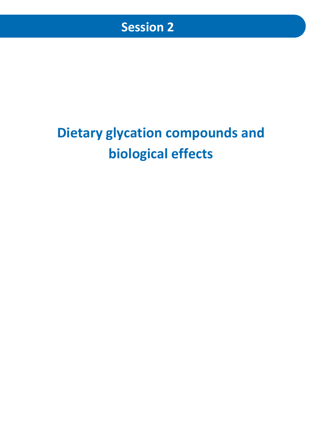# **Dietary glycation compounds and biological effects**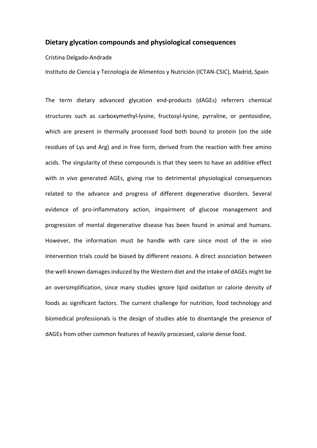#### **Dietary glycation compounds and physiological consequences**

Cristina Delgado‐Andrade

Instituto de Ciencia y Tecnología de Alimentos y Nutrición (ICTAN‐CSIC), Madrid, Spain

The term dietary advanced glycation end‐products (dAGEs) referrers chemical structures such as carboxymethyl-lysine, fructosyl-lysine, pyrraline, or pentosidine, which are present in thermally processed food both bound to protein (on the side residues of Lys and Arg) and in free form, derived from the reaction with free amino acids. The singularity of these compounds is that they seem to have an additive effect with *in vivo* generated AGEs, giving rise to detrimental physiological consequences related to the advance and progress of different degenerative disorders. Several evidence of pro-inflammatory action, impairment of glucose management and progression of mental degenerative disease has been found in animal and humans. However, the information must be handle with care since most of the *in vivo* intervention trials could be biased by different reasons. A direct association between the well‐known damagesinduced by the Western diet and the intake of dAGEs might be an oversimplification, since many studies ignore lipid oxidation or calorie density of foods as significant factors. The current challenge for nutrition, food technology and biomedical professionals is the design of studies able to disentangle the presence of dAGEs from other common features of heavily processed, calorie dense food.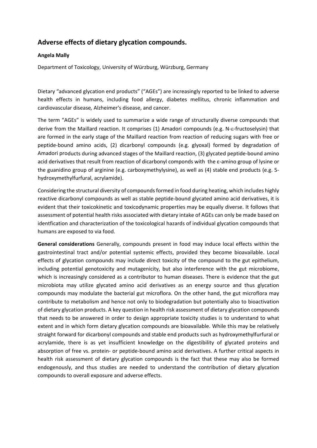## **Adverse effects of dietary glycation compounds.**

#### **Angela Mally**

Department of Toxicology, University of Würzburg, Würzburg, Germany

Dietary "advanced glycation end products" ("AGEs") are increasingly reported to be linked to adverse health effects in humans, including food allergy, diabetes mellitus, chronic inflammation and cardiovascular disease*,* Alzheimer's disease, and cancer.

The term "AGEs" is widely used to summarize a wide range of structurally diverse compounds that derive from the Maillard reaction. It comprises (1) Amadori compounds (e.g. N- $\varepsilon$ -fructoselysin) that are formed in the early stage of the Maillard reaction from reaction of reducing sugars with free or peptide‐bound amino acids, (2) dicarbonyl compounds (e.g. glyoxal) formed by degradation of Amadori products during advanced stages of the Maillard reaction, (3) glycated peptide‐bound amino acid derivatives that result from reaction of dicarbonyl componds with the ε-amino group of lysine or the guanidino group of arginine (e.g. carboxymethylysine), as well as (4) stable end products (e.g. 5‐ hydroxymethylfurfural, acrylamide).

Considering the structural diversity of compoundsformed in food during heating, which includes highly reactive dicarbonyl compounds as well as stable peptide‐bound glycated amino acid derivatives, it is evident that their toxicokinetic and toxicodynamic properties may be equally diverse. It follows that assessment of potential health risks associated with dietary intake of AGEs can only be made based on identfication and characterization of the toxicological hazards of individual glycation compounds that humans are exposed to via food.

**General considerations** Generally, compounds present in food may induce local effects within the gastrointestinal tract and/or potential systemic effects, provided they become bioavailable. Local effects of glycation compounds may include direct toxicity of the compound to the gut epithelium, including potential genotoxicity and mutagenicity, but also interference with the gut microbiome, which is increasingly considered as a contributor to human diseases. There is evidence that the gut microbiota may utilize glycated amino acid derivatives as an energy source and thus glycation compounds may modulate the bacterial gut microflora. On the other hand, the gut microflora may contribute to metabolism and hence not only to biodegradation but potentially also to bioactivation of dietary glycation products. A key question in health risk assessment of dietary glycation compounds that needs to be answered in order to design appropriate toxicity studies is to understand to what extent and in which form dietary glycation compounds are bioavailable. While this may be relatively straight forward for dicarbonyl compounds and stable end products such as hydroxymethylfurfural or acrylamide, there is as yet insufficient knowledge on the digestibility of glycated proteins and absorption of free vs. protein‐ or peptide‐bound amino acid derivatives. A further critical aspects in health risk assessment of dietary glycation compounds is the fact that these may also be formed endogenously, and thus studies are needed to understand the contribution of dietary glycation compounds to overall exposure and adverse effects.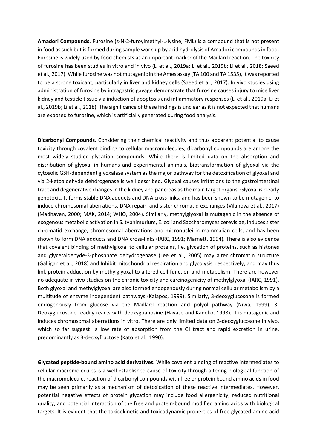**Amadori Compounds.** Furosine (ɛ‐N‐2‐furoylmethyl‐L‐lysine, FML) is a compound that is not present in food as such but is formed during sample work-up by acid hydrolysis of Amadori compounds in food. Furosine is widely used by food chemists as an important marker of the Maillard reaction. The toxicity of furosine has been studies in vitro and in vivo (Li et al., 2019a; Li et al., 2019b; Li et al., 2018; Saeed et al., 2017). While furosine was not mutagenic in the Ames assay (TA 100 and TA 1535), it wasreported to be a strong toxicant, particularly in liver and kidney cells (Saeed et al., 2017). In vivo studies using administration of furosine by intragastric gavage demonstrate that furosine causes injury to mice liver kidney and testicle tissue via induction of apoptosis and inflammatory responses (Li et al., 2019a; Li et al., 2019b; Li et al., 2018). The significance of these findingsis unclear asit is not expected that humans are exposed to furosine, which is artificially generated during food analysis.

**Dicarbonyl Compounds.** Considering their chemical reactivity and thus apparent potential to cause toxicity through covalent binding to cellular macromolecules, dicarbonyl compounds are among the most widely studied glycation compounds. While there is limited data on the absorption and distribution of glyoxal in humans and experimental animals, biotransformation of glyoxal via the cytosolic GSH-dependent glyoxalase system as the major pathway for the detoxification of glyoxal and via 2‐ketoaldehyde dehdrogenase is well described. Glyoxal causes irritations to the gastrointestinal tract and degenerative changes in the kidney and pancreas as the main target organs. Glyoxal is clearly genotoxic. It forms stable DNA adducts and DNA cross links, and has been shown to be mutagenic, to induce chromosomal aberrations, DNA repair, and sister chromatid exchanges (Vilanova et al., 2017) (Madhaven, 2000; MAK, 2014; WHO, 2004). Similarly, methylglyoxal is mutagenic in the absence of exogenous metabolic activation in S. typhimurium, E. coli and Saccharomyces cerevisiae, induces sister chromatid exchange, chromosomal aberrations and micronuclei in mammalian cells, and has been shown to form DNA adducts and DNA cross-links (IARC, 1991; Marnett, 1994). There is also evidence that covalent binding of methylgloxal to cellular proteins, i.e. glycation of proteins, such as histones and glyceraldehyde‐3‐phosphate dehydrogenase (Lee et al., 2005) may alter chromatin structure (Galligan et al., 2018) and Inhibit mitochondrial respiration and glycolysis, respectively, and may thus link protein adduction by methylglyoxal to altered cell function and metabolism. There are however no adequate in vivo studies on the chronic toxicity and carcinogenicity of methylglyoxal (IARC, 1991). Both glyoxal and methylglyoxal are also formed endogenously during normal cellular metabolism by a multitude of enzyme independent pathways (Kalapos, 1999). Similarly, 3‐deoxyglucosone is formed endogenously from glucose via the Maillard reaction and polyol pathway (Niwa, 1999). 3-Deoxyglucosone readily reacts with deoxyguanosine (Hayase and Kaneko, 1998); it is mutagenic and induces chromosomal aberrations in vitro. There are only limited data on 3‐deoxyglucosone in vivo, which so far suggest a low rate of absorption from the GI tract and rapid excretion in urine, predominantly as 3‐deoxyfructose (Kato et al., 1990).

**Glycated peptide‐bound amino acid derivatives.** While covalent binding of reactive intermediates to cellular macromolecules is a well established cause of toxicity through altering biological function of the macromolecule, reaction of dicarbonyl compounds with free or protein bound amino acids in food may be seen primarily as a mechanism of detoxication of these reactive intermediates. However, potential negative effects of protein glycation may include food allergenicity, reduced nutritional quality, and potential interaction of the free and protein‐bound modified amino acids with biological targets. It is evident that the toxicokinetic and toxicodynamic properties of free glycated amino acid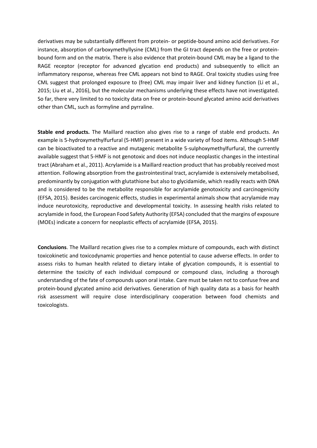derivatives may be substantially different from protein‐ or peptide‐bound amino acid derivatives. For instance, absorption of carboxymethyllysine (CML) from the GI tract depends on the free or proteinbound form and on the matrix. There is also evidence that protein‐bound CML may be a ligand to the RAGE receptor (receptor for advanced glycation end products) and subsequently to ellicit an inflammatory response, whereas free CML appears not bind to RAGE. Oral toxicity studies using free CML suggest that prolonged exposure to (free) CML may impair liver and kidney function (Li et al., 2015; Liu et al., 2016), but the molecular mechanisms underlying these effects have not investigated. So far, there very limited to no toxicity data on free or protein‐bound glycated amino acid derivatives other than CML, such as formyline and pyrraline.

**Stable end products.** The Maillard reaction also gives rise to a range of stable end products. An example is 5‐hydroxymethylfurfural (5‐HMF) present in a wide variety of food items. Although 5‐HMF can be bioactivated to a reactive and mutagenic metabolite 5‐sulphoxymethylfurfural, the currently available suggest that 5‐HMF is not genotoxic and does not induce neoplastic changes in the intestinal tract (Abraham et al., 2011). Acrylamide is a Maillard reaction product that has probably received most attention. Following absorption from the gastrointestinal tract, acrylamide is extensively metabolised, predominantly by conjugation with glutathione but also to glycidamide, which readily reacts with DNA and is considered to be the metabolite responsible for acrylamide genotoxicity and carcinogenicity (EFSA, 2015). Besides carcinogenic effects, studies in experimental animals show that acrylamide may induce neurotoxicity, reproductive and developmental toxicity. In assessing health risks related to acrylamide in food, the European Food Safety Authority (EFSA) concluded that the margins of exposure (MOEs) indicate a concern for neoplastic effects of acrylamide (EFSA, 2015).

**Conclusions**. The Maillard recation gives rise to a complex mixture of compounds, each with distinct toxicokinetic and toxicodynamic properties and hence potential to cause adverse effects. In order to assess risks to human health related to dietary intake of glycation compounds, it is essential to determine the toxicity of each individual compound or compound class, including a thorough understanding of the fate of compounds upon oral intake. Care must be taken not to confuse free and protein‐bound glycated amino acid derivatives. Generation of high quality data as a basis for health risk assessment will require close interdisciplinary cooperation between food chemists and toxicologists.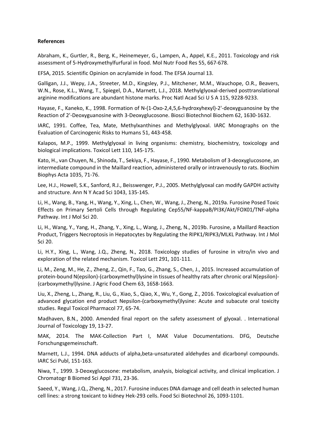#### **References**

Abraham, K., Gurtler, R., Berg, K., Heinemeyer, G., Lampen, A., Appel, K.E., 2011. Toxicology and risk assessment of 5‐Hydroxymethylfurfural in food. Mol Nutr Food Res 55, 667‐678.

EFSA, 2015. Scientific Opinion on acrylamide in food. The EFSA Journal 13.

Galligan, J.J., Wepy, J.A., Streeter, M.D., Kingsley, P.J., Mitchener, M.M., Wauchope, O.R., Beavers, W.N., Rose, K.L., Wang, T., Spiegel, D.A., Marnett, L.J., 2018. Methylglyoxal‐derived posttranslational arginine modifications are abundant histone marks. Proc Natl Acad Sci U S A 115, 9228‐9233.

Hayase, F., Kaneko, K., 1998. Formation of N‐(1‐Oxo‐2,4,5,6‐hydroxyhexyl)‐2'‐deoxyguanosine by the Reaction of 2'-Deoxyguanosine with 3-Deoxyglucosone. Biosci Biotechnol Biochem 62, 1630-1632.

IARC, 1991. Coffee, Tea, Mate, Methylxanthines and Methylglyoxal. IARC Monographs on the Evaluation of Carcinogenic Risks to Humans 51, 443‐458.

Kalapos, M.P., 1999. Methylglyoxal in living organisms: chemistry, biochemistry, toxicology and biological implications. Toxicol Lett 110, 145‐175.

Kato, H., van Chuyen, N., Shinoda, T., Sekiya, F., Hayase, F., 1990. Metabolism of 3‐deoxyglucosone, an intermediate compound in the Maillard reaction, administered orally or intravenously to rats. Biochim Biophys Acta 1035, 71‐76.

Lee, H.J., Howell, S.K., Sanford, R.J., Beisswenger, P.J., 2005. Methylglyoxal can modify GAPDH activity and structure. Ann N Y Acad Sci 1043, 135‐145.

Li, H., Wang, B., Yang, H., Wang, Y., Xing, L., Chen, W., Wang, J., Zheng, N., 2019a. Furosine Posed Toxic Effects on Primary Sertoli Cells through Regulating Cep55/NF‐kappaB/PI3K/Akt/FOX01/TNF‐alpha Pathway. Int J Mol Sci 20.

Li, H., Wang, Y., Yang, H., Zhang, Y., Xing, L., Wang, J., Zheng, N., 2019b. Furosine, a Maillard Reaction Product, Triggers Necroptosis in Hepatocytes by Regulating the RIPK1/RIPK3/MLKL Pathway. Int J Mol Sci 20.

Li, H.Y., Xing, L., Wang, J.Q., Zheng, N., 2018. Toxicology studies of furosine in vitro/in vivo and exploration of the related mechanism. Toxicol Lett 291, 101‐111.

Li, M., Zeng, M., He, Z., Zheng, Z., Qin, F., Tao, G., Zhang, S., Chen, J., 2015. Increased accumulation of protein‐bound N(epsilon)‐(carboxymethyl)lysine in tissues of healthy rats after chronic oral N(epsilon)‐ (carboxymethyl)lysine. J Agric Food Chem 63, 1658‐1663.

Liu, X., Zheng, L., Zhang, R., Liu, G., Xiao, S., Qiao, X., Wu, Y., Gong, Z., 2016. Toxicological evaluation of advanced glycation end product Nepsilon‐(carboxymethyl)lysine: Acute and subacute oral toxicity studies. Regul Toxicol Pharmacol 77, 65‐74.

Madhaven, B.N., 2000. Amended final report on the safety assessment of glyoxal. . International Journal of Toxicology 19, 13‐27.

MAK, 2014. The MAK‐Collection Part I, MAK Value Documentations. DFG, Deutsche Forschungsgemeinschaft.

Marnett, L.J., 1994. DNA adducts of alpha, beta-unsaturated aldehydes and dicarbonyl compounds. IARC Sci Publ, 151‐163.

Niwa, T., 1999. 3‐Deoxyglucosone: metabolism, analysis, biological activity, and clinical implication. J Chromatogr B Biomed Sci Appl 731, 23‐36.

Saeed, Y., Wang, J.Q., Zheng, N., 2017. Furosine induces DNA damage and cell death in selected human cell lines: a strong toxicant to kidney Hek‐293 cells. Food Sci Biotechnol 26, 1093‐1101.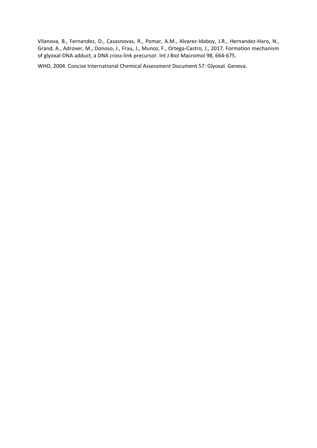Vilanova, B., Fernandez, D., Casasnovas, R., Pomar, A.M., Alvarez‐Idaboy, J.R., Hernandez‐Haro, N., Grand, A., Adrover, M., Donoso, J., Frau, J., Munoz, F., Ortega‐Castro, J., 2017. Formation mechanism of glyoxal‐DNA adduct, a DNA cross‐link precursor. Int J Biol Macromol 98, 664‐675.

WHO, 2004. Concise International Chemical Assessment Document 57: Glyoxal. Geneva.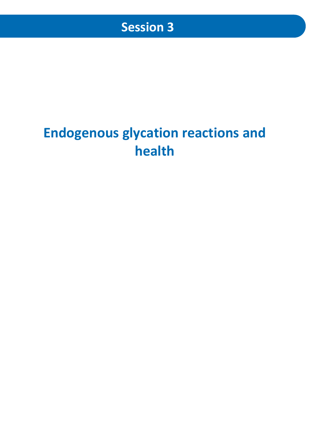## **Endogenous glycation reactions and health**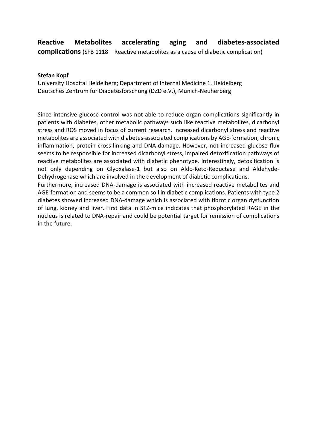### **Reactive Metabolites accelerating aging and diabetes-associated complications** (SFB 1118 – Reactive metabolites as a cause of diabetic complication)

**Stefan Kopf**

University Hospital Heidelberg; Department of Internal Medicine 1, Heidelberg Deutsches Zentrum für Diabetesforschung (DZD e.V.), Munich-Neuherberg

Since intensive glucose control was not able to reduce organ complications significantly in patients with diabetes, other metabolic pathways such like reactive metabolites, dicarbonyl stress and ROS moved in focus of current research. Increased dicarbonyl stress and reactive metabolites are associated with diabetes-associated complications by AGE-formation, chronic inflammation, protein cross-linking and DNA-damage. However, not increased glucose flux seems to be responsible for increased dicarbonyl stress, impaired detoxification pathways of reactive metabolites are associated with diabetic phenotype. Interestingly, detoxification is not only depending on Glyoxalase-1 but also on Aldo-Keto-Reductase and Aldehyde-Dehydrogenase which are involved in the development of diabetic complications.

Furthermore, increased DNA-damage is associated with increased reactive metabolites and AGE-formation and seems to be a common soil in diabetic complications. Patients with type 2 diabetes showed increased DNA-damage which is associated with fibrotic organ dysfunction of lung, kidney and liver. First data in STZ-mice indicates that phosphorylated RAGE in the nucleus is related to DNA-repair and could be potential target for remission of complications in the future.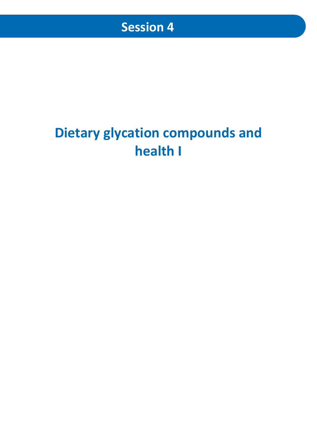# **Dietary glycation compounds and health I**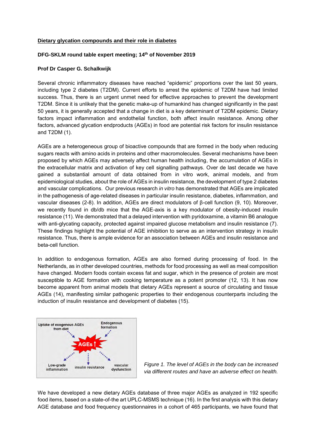#### **Dietary glycation compounds and their role in diabetes**

#### **DFG-SKLM round table expert meeting; 14th of November 2019**

#### **Prof Dr Casper G. Schalkwijk**

Several chronic inflammatory diseases have reached "epidemic" proportions over the last 50 years, including type 2 diabetes (T2DM). Current efforts to arrest the epidemic of T2DM have had limited success. Thus, there is an urgent unmet need for effective approaches to prevent the development T2DM. Since it is unlikely that the genetic make-up of humankind has changed significantly in the past 50 years, it is generally accepted that a change in diet is a key determinant of T2DM epidemic. Dietary factors impact inflammation and endothelial function, both affect insulin resistance. Among other factors, advanced glycation endproducts (AGEs) in food are potential risk factors for insulin resistance and T2DM (1).

AGEs are a heterogeneous group of bioactive compounds that are formed in the body when reducing sugars reacts with amino acids in proteins and other macromolecules. Several mechanisms have been proposed by which AGEs may adversely affect human health including, the accumulation of AGEs in the extracellular matrix and activation of key cell signalling pathways. Over de last decade we have gained a substantial amount of data obtained from in vitro work, animal models, and from epidemiological studies, about the role of AGEs in insulin resistance, the development of type 2 diabetes and vascular complications. Our previous research *in vitro* has demonstrated that AGEs are implicated in the pathogenesis of age-related diseases in particular insulin resistance, diabetes, inflammation, and vascular diseases (2-8). In addition, AGEs are direct modulators of β-cell function (9, 10). Moreover, we recently found in db/db mice that the AGE-axis is a key modulator of obesity-induced insulin resistance (11). We demonstrated that a delayed intervention with pyridoxamine, a vitamin B6 analogue with anti-glycating capacity, protected against impaired glucose metabolism and insulin resistance (7). These findings highlight the potential of AGE inhibition to serve as an intervention strategy in insulin resistance. Thus, there is ample evidence for an association between AGEs and insulin resistance and beta-cell function.

In addition to endogenous formation, AGEs are also formed during processing of food. In the Netherlands, as in other developed countries, methods for food processing as well as meal composition have changed. Modern foods contain excess fat and sugar, which in the presence of protein are most susceptible to AGE formation with cooking temperature as a potent promoter (12, 13). It has now become apparent from animal models that dietary AGEs represent a source of circulating and tissue AGEs (14), manifesting similar pathogenic properties to their endogenous counterparts including the induction of insulin resistance and development of diabetes (15).





We have developed a new dietary AGEs database of three major AGEs as analyzed in 192 specific food items, based on a state-of-the art UPLC-MSMS technique (16). In the first analysis with this dietary AGE database and food frequency questionnaires in a cohort of 465 participants, we have found that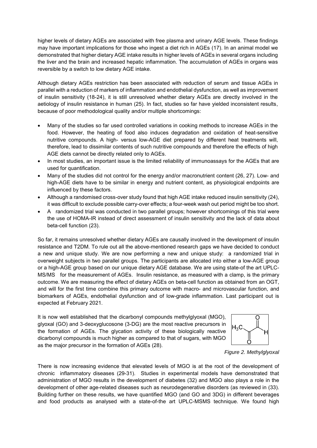higher levels of dietary AGEs are associated with free plasma and urinary AGE levels. These findings may have important implications for those who ingest a diet rich in AGEs (17). In an animal model we demonstrated that higher dietary AGE intake results in higher levels of AGEs in several organs including the liver and the brain and increased hepatic inflammation. The accumulation of AGEs in organs was reversible by a switch to low dietary AGE intake.

Although dietary AGEs restriction has been associated with reduction of serum and tissue AGEs in parallel with a reduction of markers of inflammation and endothelial dysfunction, as well as improvement of insulin sensitivity (18-24), it is still unresolved whether dietary AGEs are directly involved in the aetiology of insulin resistance in human (25). In fact, studies so far have yielded inconsistent results, because of poor methodological quality and/or multiple shortcomings:

- Many of the studies so far used controlled variations in cooking methods to increase AGEs in the food. However, the heating of food also induces degradation and oxidation of heat-sensitive nutritive compounds. A high- versus low-AGE diet prepared by different heat treatments will, therefore, lead to dissimilar contents of such nutritive compounds and therefore the effects of high AGE diets cannot be directly related only to AGEs.
- In most studies, an important issue is the limited reliability of immunoassays for the AGEs that are used for quantification.
- Many of the studies did not control for the energy and/or macronutrient content (26, 27). Low- and high-AGE diets have to be similar in energy and nutrient content, as physiological endpoints are influenced by these factors.
- Although a randomised cross-over study found that high AGE intake reduced insulin sensitivity (24), it was difficult to exclude possible carry-over effects; a four-week wash out period might be too short.
- A randomized trial was conducted in two parallel groups; however shortcomings of this trial were the use of HOMA-IR instead of direct assessment of insulin sensitivity and the lack of data about beta-cell function (23).

So far, it remains unresolved whether dietary AGEs are causally involved in the development of insulin resistance and T2DM. To rule out all the above-mentioned research gaps we have decided to conduct a new and unique study. We are now performing a new and unique study: a randomized trial in overweight subjects in two parallel groups. The participants are allocated into either a low-AGE group or a high-AGE group based on our unique dietary AGE database. We are using state-of the art UPLC-MS/MS for the measurement of AGEs. Insulin resistance, as measured with a clamp, is the primary outcome. We are measuring the effect of dietary AGEs on beta-cell function as obtained from an OGT, and will for the first time combine this primary outcome with macro- and microvascular function, and biomarkers of AGEs, endothelial dysfunction and of low-grade inflammation. Last participant out is expected at February 2021.

It is now well established that the dicarbonyl compounds methylglyoxal (MGO), glyoxal (GO) and 3-deoxyglucosone (3-DG) are the most reactive precursors in the formation of AGEs. The glycation activity of these biologically reactive dicarbonyl compounds is much higher as compared to that of sugars, with MGO as the major precursor in the formation of AGEs (28).



*Figure 2. Methylglyoxal*

There is now increasing evidence that elevated levels of MGO is at the root of the development of chronic inflammatory diseases (29-31). Studies in experimental models have demonstrated that administration of MGO results in the development of diabetes (32) and MGO also plays a role in the development of other age-related diseases such as neurodegenerative disorders (as reviewed in (33). Building further on these results, we have quantified MGO (and GO and 3DG) in different beverages and food products as analysed with a state-of-the art UPLC-MSMS technique. We found high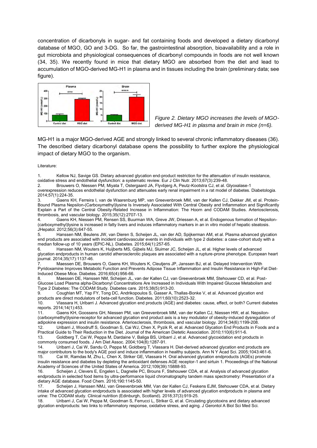concentration of dicarbonyls in sugar- and fat containing foods and developed a dietary dicarbonyl database of MGO, GO and 3-DG. So far, the gastrointestinal absorption, bioavailability and a role in gut microbiota and physiological consequences of dicarbonyl compounds in foods are not well known (34, 35). We recently found in mice that dietary MGO are absorbed from the diet and lead to accumulation of MGO-derived MG-H1 in plasma and in tissues including the brain (preliminary data; see figure).



*Figure 2. Dietary MGO increases the levels of MGOderived MG-H1 in plasma and brain in mice (n=6).*

MG-H1 is a major MGO-derived AGE and strongly linked to several chronic inflammatory diseases (36). The described dietary dicarbonyl database opens the possibility to further explore the physiological impact of dietary MGO to the organism.

#### Literature:

1. Kellow NJ, Savige GS. Dietary advanced glycation end-product restriction for the attenuation of insulin resistance, oxidative stress and endothelial dysfunction: a systematic review. Eur J Clin Nutr. 2013;67(3):239-48.

2. Brouwers O, Niessen PM, Miyata T, Ostergaard JA, Flyvbjerg A, Peutz-Kootstra CJ, et al. Glyoxalase-1 overexpression reduces endothelial dysfunction and attenuates early renal impairment in a rat model of diabetes. Diabetologia. 2014;57(1):224-35.

3. Gaens KH, Ferreira I, van de Waarenburg MP, van Greevenbroek MM, van der Kallen CJ, Dekker JM, et al. Protein-Bound Plasma Nepsilon-(Carboxymethyl)lysine Is Inversely Associated With Central Obesity and Inflammation and Significantly Explain a Part of the Central Obesity-Related Increase in Inflammation: The Hoorn and CODAM Studies. Arteriosclerosis, thrombosis, and vascular biology. 2015;35(12):2707-13.

4. Gaens KH, Niessen PM, Rensen SS, Buurman WA, Greve JW, Driessen A, et al. Endogenous formation of Nepsilon- (carboxymethyl)lysine is increased in fatty livers and induces inflammatory markers in an in vitro model of hepatic steatosis. JHepatol. 2012;56(3):647-55.

5. Hanssen NM, Beulens JW, van Dieren S, Scheijen JL, van der AD, Spijkerman AM, et al. Plasma advanced glycation end products are associated with incident cardiovascular events in individuals with type 2 diabetes: a case-cohort study with a median follow-up of 10 years (EPIC-NL). Diabetes. 2015;64(1):257-65.

6. Hanssen NM, Wouters K, Huijberts MS, Gijbels MJ, Sluimer JC, Scheijen JL, et al. Higher levels of advanced glycation endproducts in human carotid atherosclerotic plaques are associated with a rupture-prone phenotype. European heart journal. 2014;35(17):1137-46.

7. Maessen DE, Brouwers O, Gaens KH, Wouters K, Cleutjens JP, Janssen BJ, et al. Delayed Intervention With Pyridoxamine Improves Metabolic Function and Prevents Adipose Tissue Inflammation and Insulin Resistance in High-Fat Diet-Induced Obese Mice. Diabetes. 2016;65(4):956-66.

8. Maessen DE, Hanssen NM, Scheijen JL, van der Kallen CJ, van Greevenbroek MM, Stehouwer CD, et al. Post-Glucose Load Plasma alpha-Dicarbonyl Concentrations Are Increased in Individuals With Impaired Glucose Metabolism and Type 2 Diabetes: The CODAM Study. Diabetes care. 2015;38(5):913-20.

Coughlan MT, Yap FY, Tong DC, Andrikopoulos S, Gasser A, Thallas-Bonke V, et al. Advanced glycation end products are direct modulators of beta-cell function. Diabetes. 2011;60(10):2523-32.

10. Vlassara H, Uribarri J. Advanced glycation end products (AGE) and diabetes: cause, effect, or both? Current diabetes reports. 2014;14(1):453.

11. Gaens KH, Goossens GH, Niessen PM, van Greevenbroek MM, van der Kallen CJ, Niessen HW, et al. Nepsilon- (carboxymethyl)lysine-receptor for advanced glycation end product axis is a key modulator of obesity-induced dysregulation of adipokine expression and insulin resistance. Arteriosclerosis, thrombosis, and vascular biology. 2014;34(6):1199-208. 12. Uribarri J, Woodruff S, Goodman S, Cai WJ, Chen X, Pyzik R, et al. Advanced Glycation End Products in Foods and a

Practical Guide to Their Reduction in the Diet. Journal of the American Dietetic Association. 2010;110(6):911-6.

13. Goldberg T, Cai W, Peppa M, Dardaine V, Baliga BS, Uribarri J, et al. Advanced glycoxidation end products in commonly consumed foods. J Am Diet Assoc. 2004;104(8):1287-91.

14. Uribarri J, Cai W, Sandu O, Peppa M, Goldberg T, Vlassara H. Diet-derived advanced glycation end products are major contributors to the body's AGE pool and induce inflammation in healthy subjects. Ann N Y Acad Sci. 2005;1043:461-6.<br>15. Cai W. Ramdas M. Zhu L. Chen X. Striker GE. Vlassara H. Oral advanced glycation endpro 15. Cai W, Ramdas M, Zhu L, Chen X, Striker GE, Vlassara H. Oral advanced glycation endproducts (AGEs) promote insulin resistance and diabetes by depleting the antioxidant defenses AGE receptor-1 and sirtuin 1. Proceedings of the National Academy of Sciences of the United States of America. 2012;109(39):15888-93.

16. Scheijen J, Clevers E, Engelen L, Dagnelie PC, Brouns F, Stehouwer CDA, et al. Analysis of advanced glycation endproducts in selected food items by ultra-performance liquid chromatography tandem mass spectrometry: Presentation of a dietary AGE database. Food Chem. 2016;190:1145-50.

17. Scheijen J, Hanssen NMJ, van Greevenbroek MM, Van der Kallen CJ, Feskens EJM, Stehouwer CDA, et al. Dietary intake of advanced glycation endproducts is associated with higher levels of advanced glycation endproducts in plasma and urine: The CODAM study. Clinical nutrition (Edinburgh, Scotland). 2018;37(3):919-25.

18. Uribarri J, Cai W, Peppa M, Goodman S, Ferrucci L, Striker G, et al. Circulating glycotoxins and dietary advanced glycation endproducts: two links to inflammatory response, oxidative stress, and aging. J Gerontol A Biol Sci Med Sci.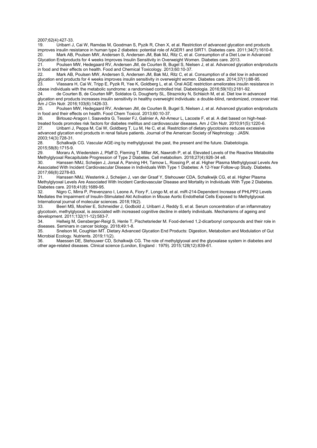2007;62(4):427-33.<br>19 Uribarri J

19. Uribarri J, Cai W, Ramdas M, Goodman S, Pyzik R, Chen X, et al. Restriction of advanced glycation end products improves insulin resistance in human type 2 diabetes: potential role of AGER1 and SIRT1. Diabetes care. 2011;34(7):1610-6. 20. Mark AB, Poulsen MW, Andersen S, Andersen JM, Bak MJ, Ritz C, et al. Consumption of a Diet Low in Advanced Glycation Endproducts for 4 weeks Improves Insulin Sensitivity in Overweight Women. Diabetes care. 2013.

21. Poulsen MW, Hedegaard RV, Andersen JM, de Courten B, Bugel S, Nielsen J, et al. Advanced glycation endproducts in food and their effects on health. Food and Chemical Toxicology. 2013;60:10-37.

Mark AB, Poulsen MW, Andersen S, Andersen JM, Bak MJ, Ritz C, et al. Consumption of a diet low in advanced glycation end products for 4 weeks improves insulin sensitivity in overweight women. Diabetes care. 2014;37(1):88-95. 23. Vlassara H, Cai W, Tripp E, Pyzik R, Yee K, Goldberg L, et al. Oral AGE restriction ameliorates insulin resistance in

obese individuals with the metabolic syndrome: a randomised controlled trial. Diabetologia. 2016;59(10):2181-92. 24. de Courten B, de Courten MP, Soldatos G, Dougherty SL, Straznicky N, Schlaich M, et al. Diet low in advanced glycation end products increases insulin sensitivity in healthy overweight individuals: a double-blind, randomized, crossover trial. Am J Clin Nutr. 2016;103(6):1426-33.<br>25. Poulsen MW. Hedegaard R

25. Poulsen MW, Hedegaard RV, Andersen JM, de Courten B, Bugel S, Nielsen J, et al. Advanced glycation endproducts in food and their effects on health. Food Chem Toxicol. 2013;60:10-37.

26. Birlouez-Aragon I, Saavedra G, Tessier FJ, Galinier A, Ait-Ameur L, Lacoste F, et al. A diet based on high-heattreated foods promotes risk factors for diabetes mellitus and cardiovascular diseases. Am J Clin Nutr. 2010;91(5):1220-6. 27. Uribarri J, Peppa M, Cai W, Goldberg T, Lu M, He C, et al. Restriction of dietary glycotoxins reduces excessive

advanced glycation end products in renal failure patients. Journal of the American Society of Nephrology : JASN. 2003;14(3):728-31.

Schalkwijk CG. Vascular AGE-ing by methylglyoxal: the past, the present and the future. Diabetologia. 2015;58(8):1715-9.

Moraru A, Wiederstein J, Pfaff D, Fleming T, Miller AK, Nawroth P, et al. Elevated Levels of the Reactive Metabolite Methylglyoxal Recapitulate Progression of Type 2 Diabetes. Cell metabolism. 2018;27(4):926-34 e8.

30. Hanssen NMJ, Scheijen J, Jorsal A, Parving HH, Tarnow L, Rossing P, et al. Higher Plasma Methylglyoxal Levels Are Associated With Incident Cardiovascular Disease in Individuals With Type 1 Diabetes: A 12-Year Follow-up Study. Diabetes. 2017;66(8):2278-83.

31. `` Hanssen NMJ, Westerink J, Scheijen J, van der Graaf Y, Stehouwer CDA, Schalkwijk CG, et al. Higher Plasma Methylglyoxal Levels Are Associated With Incident Cardiovascular Disease and Mortality in Individuals With Type 2 Diabetes. Diabetes care. 2018;41(8):1689-95.

32. Nigro C, Mirra P, Prevenzano I, Leone A, Fiory F, Longo M, et al. miR-214-Dependent Increase of PHLPP2 Levels Mediates the Impairment of Insulin-Stimulated Akt Activation in Mouse Aortic Endothelial Cells Exposed to Methylglyoxal. International journal of molecular sciences. 2018;19(2).

33. Beeri MS, Moshier E, Schmeidler J, Godbold J, Uribarri J, Reddy S, et al. Serum concentration of an inflammatory glycotoxin, methylglyoxal, is associated with increased cognitive decline in elderly individuals. Mechanisms of ageing and development. 2011;132(11-12):583-7.

34. Hellwig M, Gensberger-Reigl S, Henle T, Pischetsrieder M. Food-derived 1,2-dicarbonyl compounds and their role in diseases. Seminars in cancer biology. 2018;49:1-8.

35. Snelson M, Coughlan MT. Dietary Advanced Glycation End Products: Digestion, Metabolism and Modulation of Gut Microbial Ecology. Nutrients. 2019;11(2).

36. Maessen DE, Stehouwer CD, Schalkwijk CG. The role of methylglyoxal and the glyoxalase system in diabetes and other age-related diseases. Clinical science (London, England : 1979). 2015;128(12):839-61.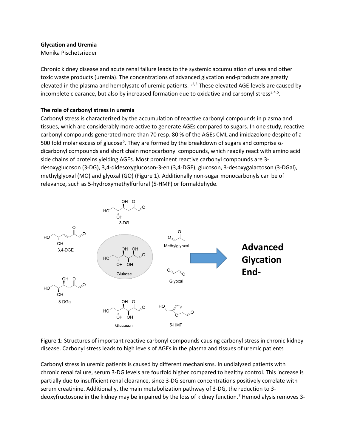#### **Glycation and Uremia**

#### Monika Pischetsrieder

<span id="page-26-0"></span>Chronic kidney disease and acute renal failure leads to the systemic accumulation of urea and other toxic waste products (uremia). The concentrations of advanced glycation end-products are greatly elevated in the plasma and hemolysate of uremic patients.<sup>[1,](#page-29-0)[2,](#page-29-1)[3](#page-29-2)</sup> These elevated AGE-levels are caused by incomplete clearance, but also by increased formation due to oxidative and carbonyl stress<sup>3,[4,](#page-29-3)[5](#page-29-4)</sup>.

#### **The role of carbonyl stress in uremia**

Carbonyl stress is characterized by the accumulation of reactive carbonyl compounds in plasma and tissues, which are considerably more active to generate AGEs compared to sugars. In one study, reactive carbonyl compounds generated more than 70 resp. 80 % of the AGEs CML and imidazolone despite of a 500 fold molar excess of glucose<sup>[6](#page-29-5)</sup>. They are formed by the breakdown of sugars and comprise αdicarbonyl compounds and short chain monocarbonyl compounds, which readily react with amino acid side chains of proteins yielding AGEs. Most prominent reactive carbonyl compounds are 3 desoxyglucoson (3-DG), 3,4-didesoxyglucoson-3-en (3,4-DGE), glucoson, 3-desoxygalactoson (3-DGal), methylglyoxal (MO) and glyoxal (GO) (Figure 1). Additionally non-sugar monocarbonyls can be of relevance, such as 5-hydroxymethylfurfural (5-HMF) or formaldehyde.



Figure 1: Structures of important reactive carbonyl compounds causing carbonyl stress in chronic kidney disease. Carbonyl stress leads to high levels of AGEs in the plasma and tissues of uremic patients

<span id="page-26-1"></span>Carbonyl stress in uremic patients is caused by different mechanisms. In undialyzed patients with chronic renal failure, serum 3-DG levels are fourfold higher compared to healthy control. This increase is partially due to insufficient renal clearance, since 3-DG serum concentrations positively correlate with serum creatinine. Additionally, the main metabolization pathway of 3-DG, the reduction to 3 deoxyfructosone in the kidney may be impaired by the loss of kidney function. [7](#page-29-6) Hemodialysis removes 3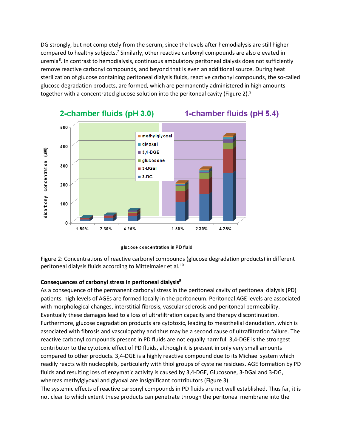DG strongly, but not completely from the serum, since the levels after hemodialysis are still higher compared to healthy subjects.<sup>7</sup> Similarly, other reactive carbonyl compounds are also elevated in uremia<sup>[8](#page-29-7)</sup>. In contrast to hemodialysis, continuous ambulatory peritoneal dialysis does not sufficiently remove reactive carbonyl compounds, and beyond that is even an additional source. During heat sterilization of glucose containing peritoneal dialysis fluids, reactive carbonyl compounds, the so-called glucose degradation products, are formed, which are permanently administered in high amounts together with a concentrated glucose solution into the peritoneal cavity (Figure 2).<sup>[9](#page-29-8)</sup>



## <span id="page-27-0"></span>1-chamber fluids (pH 5.4)

Figure 2: Concentrations of reactive carbonyl compounds (glucose degradation products) in different peritoneal dialysis fluids according to Mittelmaier et al.<sup>[10](#page-29-9)</sup>

#### **Consequences of carbonyl stress in peritoneal dialysi[s9](#page-27-0)**

As a consequence of the permanent carbonyl stress in the peritoneal cavity of peritoneal dialysis (PD) patients, high levels of AGEs are formed locally in the peritoneum. Peritoneal AGE levels are associated with morphological changes, interstitial fibrosis, vascular sclerosis and peritoneal permeability. Eventually these damages lead to a loss of ultrafiltration capacity and therapy discontinuation. Furthermore, glucose degradation products are cytotoxic, leading to mesothelial denudation, which is associated with fibrosis and vasculopathy and thus may be a second cause of ultrafiltration failure. The reactive carbonyl compounds present in PD fluids are not equally harmful. 3,4-DGE is the strongest contributor to the cytotoxic effect of PD fluids, although it is present in only very small amounts compared to other products. 3,4-DGE is a highly reactive compound due to its Michael system which readily reacts with nucleophils, particularly with thiol groups of cysteine residues. AGE formation by PD fluids and resulting loss of enzymatic activity is caused by 3,4-DGE, Glucosone, 3-DGal and 3-DG, whereas methylglyoxal and glyoxal are insignificant contributors (Figure 3).

The systemic effects of reactive carbonyl compounds in PD fluids are not well established. Thus far, it is not clear to which extent these products can penetrate through the peritoneal membrane into the

glucose concentration in PD fluid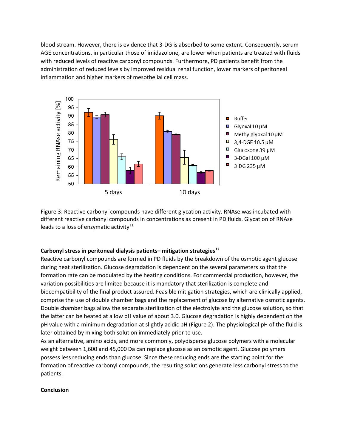blood stream. However, there is evidence that 3-DG is absorbed to some extent. Consequently, serum AGE concentrations, in particular those of imidazolone, are lower when patients are treated with fluids with reduced levels of reactive carbonyl compounds. Furthermore, PD patients benefit from the administration of reduced levels by improved residual renal function, lower markers of peritoneal inflammation and higher markers of mesothelial cell mass.



Figure 3: Reactive carbonyl compounds have different glycation activity. RNAse was incubated with different reactive carbonyl compounds in concentrations as present in PD fluids. Glycation of RNAse leads to a loss of enzymatic activity $11$ 

#### **Carbonyl stress in peritoneal dialysis patients– mitigation strategies[12](#page-29-11)**

Reactive carbonyl compounds are formed in PD fluids by the breakdown of the osmotic agent glucose during heat sterilization. Glucose degradation is dependent on the several parameters so that the formation rate can be modulated by the heating conditions. For commercial production, however, the variation possibilities are limited because it is mandatory that sterilization is complete and biocompatibility of the final product assured. Feasible mitigation strategies, which are clinically applied, comprise the use of double chamber bags and the replacement of glucose by alternative osmotic agents. Double chamber bags allow the separate sterilization of the electrolyte and the glucose solution, so that the latter can be heated at a low pH value of about 3.0. Glucose degradation is highly dependent on the pH value with a minimum degradation at slightly acidic pH (Figure 2). The physiological pH of the fluid is later obtained by mixing both solution immediately prior to use.

As an alternative, amino acids, and more commonly, polydisperse glucose polymers with a molecular weight between 1,600 and 45,000 Da can replace glucose as an osmotic agent. Glucose polymers possess less reducing ends than glucose. Since these reducing ends are the starting point for the formation of reactive carbonyl compounds, the resulting solutions generate less carbonyl stress to the patients.

#### **Conclusion**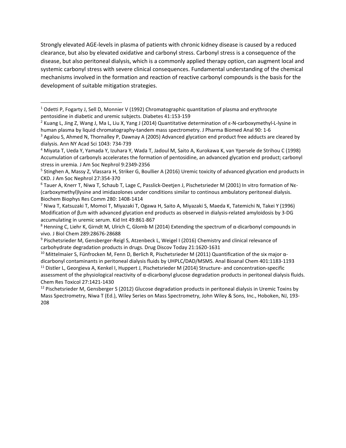Strongly elevated AGE-levels in plasma of patients with chronic kidney disease is caused by a reduced clearance, but also by elevated oxidative and carbonyl stress. Carbonyl stress is a consequence of the disease, but also peritoneal dialysis, which is a commonly applied therapy option, can augment local and systemic carbonyl stress with severe clinical consequences. Fundamental understanding of the chemical mechanisms involved in the formation and reaction of reactive carbonyl compounds is the basis for the development of suitable mitigation strategies.

l

<span id="page-29-0"></span><sup>&</sup>lt;sup>1</sup> Odetti P, Fogarty J, Sell D, Monnier V (1992) Chromatographic quantitation of plasma and erythrocyte pentosidine in diabetic and uremic subjects. Diabetes 41:153-159

<span id="page-29-1"></span><sup>&</sup>lt;sup>2</sup> Kuang L, Jing Z, Wang J, Ma L, Liu X, Yang J (2014) Quantitative determination of ε-N-carboxymethyl-L-lysine in

<span id="page-29-2"></span>human plasma by liquid chromatography-tandem mass spectrometry. J Pharma Biomed Anal 90: 1-6<br><sup>3</sup> Agalou S, Ahmed N, Thornalley P, Dawnay A (2005) Advanced glycation end product free adducts are cleared by dialysis. Ann NY Acad Sci 1043: 734-739

<span id="page-29-3"></span><sup>4</sup> Miyata T, Ueda Y, Yamada Y, Izuhara Y, Wada T, Jadoul M, Saito A, Kurokawa K, van Ypersele de Strihou C (1998) Accumulation of carbonyls accelerates the formation of pentosidine, an advanced glycation end product; carbonyl stress in uremia. J Am Soc Nephrol 9:2349-2356

<span id="page-29-4"></span> $5$  Stinghen A, Massy Z, Vlassara H, Striker G, Boullier A (2016) Uremic toxicity of advanced glycation end products in CKD. J Am Soc Nephrol 27:354-370

<span id="page-29-5"></span> $6$  Tauer A, Knerr T, Niwa T, Schaub T, Lage C, Passlick-Deetjen J, Pischetsrieder M (2001) In vitro formation of Nε-(carboxymethyl)lysine and imidazolones under conditions similar to continous ambulatory peritoneal dialysis. Biochem Biophys Res Comm 280: 1408-1414

<span id="page-29-6"></span><sup>&</sup>lt;sup>7</sup> Niwa T, Katsuzaki T, Momoi T, Miyazaki T, Ogawa H, Saito A, Miyazaki S, Maeda K, Tatemichi N, Takei Y (1996) Modification of β2m with advanced glycation end products as observed in dialysis-related amyloidosis by 3-DG accumulating in uremic serum. Kid Int 49:861-867

<span id="page-29-7"></span><sup>&</sup>lt;sup>8</sup> Henning C, Liehr K, Girndt M, Ulrich C, Glomb M (2014) Extending the spectrum of α-dicarbonyl compounds in vivo. J Biol Chem 289:28676-28688

<span id="page-29-8"></span><sup>9</sup> Pischetsrieder M, Gensberger-Reigl S, Atzenbeck L, Weigel I (2016) Chemistry and clinical relevance of carbohydrate degradation products in drugs. Drug Discov Today 21:1620-1631

<span id="page-29-10"></span><span id="page-29-9"></span><sup>&</sup>lt;sup>10</sup> Mittelmaier S, Fünfrocken M, Fenn D, Berlich R, Pischetsrieder M (2011) Quantification of the six major αdicarbonyl contaminants in peritoneal dialysis fluids by UHPLC/DAD/MSMS. Anal Bioanal Chem 401:1183-1193  $11$  Distler L, Georgieva A, Kenkel I, Huppert J, Pischetsrieder M (2014) Structure- and concentration-specific assessment of the physiological reactivity of  $\alpha$ -dicarbonyl glucose degradation products in peritoneal dialysis fluids. Chem Res Toxicol 27:1421-1430

<span id="page-29-11"></span> $12$  Pischetsrieder M, Gensberger S (2012) Glucose degradation products in peritoneal dialysis in Uremic Toxins by Mass Spectrometry, Niwa T (Ed.), Wiley Series on Mass Spectrometry, John Wiley & Sons, Inc., Hoboken, NJ, 193- 208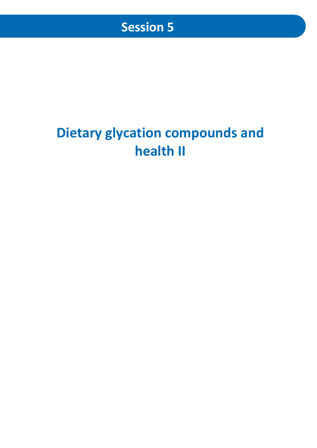# **Dietary glycation compounds and health II**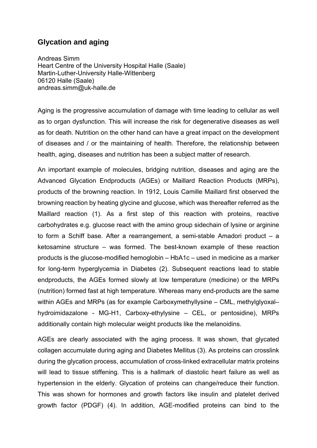## **Glycation and aging**

Andreas Simm Heart Centre of the University Hospital Halle (Saale) Martin-Luther-University Halle-Wittenberg 06120 Halle (Saale) andreas.simm@uk-halle.de

Aging is the progressive accumulation of damage with time leading to cellular as well as to organ dysfunction. This will increase the risk for degenerative diseases as well as for death. Nutrition on the other hand can have a great impact on the development of diseases and / or the maintaining of health. Therefore, the relationship between health, aging, diseases and nutrition has been a subject matter of research.

An important example of molecules, bridging nutrition, diseases and aging are the Advanced Glycation Endproducts (AGEs) or Maillard Reaction Products (MRPs), products of the browning reaction. In 1912, Louis Camille Maillard first observed the browning reaction by heating glycine and glucose, which was thereafter referred as the Maillard reaction (1). As a first step of this reaction with proteins, reactive carbohydrates e.g. glucose react with the amino group sidechain of lysine or arginine to form a Schiff base. After a rearrangement, a semi-stable Amadori product – a ketosamine structure – was formed. The best-known example of these reaction products is the glucose-modified hemoglobin – HbA1c – used in medicine as a marker for long-term hyperglycemia in Diabetes (2). Subsequent reactions lead to stable endproducts, the AGEs formed slowly at low temperature (medicine) or the MRPs (nutrition) formed fast at high temperature. Whereas many end-products are the same within AGEs and MRPs (as for example Carboxymethyllysine – CML, methylglyoxal– hydroimidazalone - MG-H1, Carboxy-ethylysine – CEL, or pentosidine), MRPs additionally contain high molecular weight products like the melanoidins.

AGEs are clearly associated with the aging process. It was shown, that glycated collagen accumulate during aging and Diabetes Mellitus (3). As proteins can crosslink during the glycation process, accumulation of cross-linked extracellular matrix proteins will lead to tissue stiffening. This is a hallmark of diastolic heart failure as well as hypertension in the elderly. Glycation of proteins can change/reduce their function. This was shown for hormones and growth factors like insulin and platelet derived growth factor (PDGF) (4). In addition, AGE-modified proteins can bind to the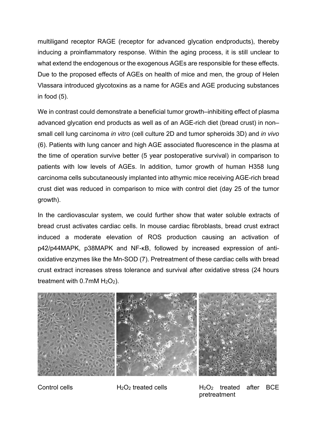multiligand receptor RAGE (receptor for advanced glycation endproducts), thereby inducing a proinflammatory response. Within the aging process, it is still unclear to what extend the endogenous or the exogenous AGEs are responsible for these effects. Due to the proposed effects of AGEs on health of mice and men, the group of Helen Vlassara introduced glycotoxins as a name for AGEs and AGE producing substances in food (5).

We in contrast could demonstrate a beneficial tumor growth–inhibiting effect of plasma advanced glycation end products as well as of an AGE-rich diet (bread crust) in non– small cell lung carcinoma *in vitro* (cell culture 2D and tumor spheroids 3D) and *in vivo* (6). Patients with lung cancer and high AGE associated fluorescence in the plasma at the time of operation survive better (5 year postoperative survival) in comparison to patients with low levels of AGEs. In addition, tumor growth of human H358 lung carcinoma cells subcutaneously implanted into athymic mice receiving AGE-rich bread crust diet was reduced in comparison to mice with control diet (day 25 of the tumor growth).

In the cardiovascular system, we could further show that water soluble extracts of bread crust activates cardiac cells. In mouse cardiac fibroblasts, bread crust extract induced a moderate elevation of ROS production causing an activation of p42/p44MAPK, p38MAPK and NF-κB, followed by increased expression of antioxidative enzymes like the Mn-SOD (7). Pretreatment of these cardiac cells with bread crust extract increases stress tolerance and survival after oxidative stress (24 hours treatment with  $0.7$ mM  $H_2O_2$ ).



Control cells H2O2 treated cells H2O2 treated after BCE pretreatment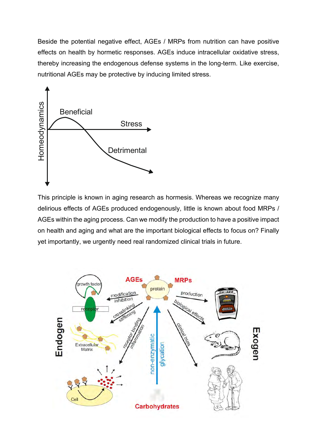Beside the potential negative effect, AGEs / MRPs from nutrition can have positive effects on health by hormetic responses. AGEs induce intracellular oxidative stress, thereby increasing the endogenous defense systems in the long-term. Like exercise, nutritional AGEs may be protective by inducing limited stress.



This principle is known in aging research as hormesis. Whereas we recognize many delirious effects of AGEs produced endogenously, little is known about food MRPs / AGEs within the aging process. Can we modify the production to have a positive impact on health and aging and what are the important biological effects to focus on? Finally yet importantly, we urgently need real randomized clinical trials in future.

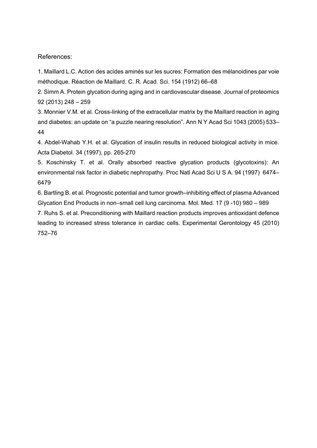References:

1. Maillard L.C. Action des acides aminés sur les sucres: Formation des mélanoidines par voie méthodique. Réaction de Maillard. C. R. Acad. Sci. 154 (1912) 66–68

2. Simm A. Protein glycation during aging and in cardiovascular disease. Journal of proteomics 92 (2013) 248 – 259

3. Monnier V.M. et al. Cross-linking of the extracellular matrix by the Maillard reaction in aging and diabetes: an update on "a puzzle nearing resolution". Ann N Y Acad Sci 1043 (2005) 533– 44

4. Abdel-Wahab Y.H. et al. Glycation of insulin results in reduced biological activity in mice. Acta Diabetol. 34 (1997), pp. 265-270

5. Koschinsky T. et al. Orally absorbed reactive glycation products (glycotoxins): An environmental risk factor in diabetic nephropathy. Proc Natl Acad Sci U S A. 94 (1997) 6474– 6479

6. Bartling B. et al. Prognostic potential and tumor growth–inhibiting effect of plasma Advanced Glycation End Products in non–small cell lung carcinoma. Mol. Med. 17 (9 -10) 980 – 989

7. Ruhs S. et al. Preconditioning with Maillard reaction products improves antioxidant defence leading to increased stress tolerance in cardiac cells. Experimental Gerontology 45 (2010) 752–76